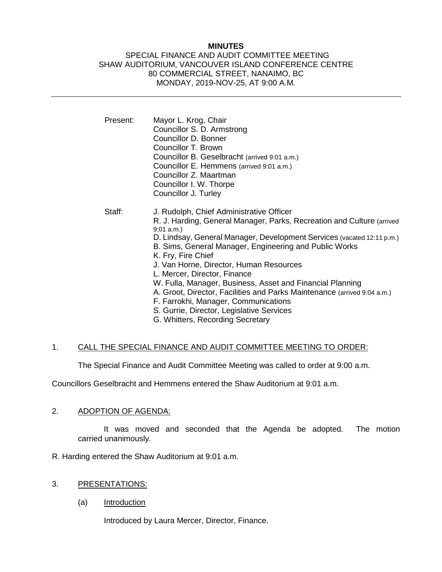### **MINUTES**

#### SPECIAL FINANCE AND AUDIT COMMITTEE MEETING SHAW AUDITORIUM, VANCOUVER ISLAND CONFERENCE CENTRE 80 COMMERCIAL STREET, NANAIMO, BC MONDAY, 2019-NOV-25, AT 9:00 A.M.

| Present: | Mayor L. Krog, Chair<br>Councillor S. D. Armstrong<br>Councillor D. Bonner<br>Councillor T. Brown<br>Councillor B. Geselbracht (arrived 9:01 a.m.)<br>Councillor E. Hemmens (arrived 9:01 a.m.)<br>Councillor Z. Maartman<br>Councillor I. W. Thorpe<br>Councillor J. Turley                                                                                                                                                                                                                                                                                                                                                              |
|----------|-------------------------------------------------------------------------------------------------------------------------------------------------------------------------------------------------------------------------------------------------------------------------------------------------------------------------------------------------------------------------------------------------------------------------------------------------------------------------------------------------------------------------------------------------------------------------------------------------------------------------------------------|
| Staff:   | J. Rudolph, Chief Administrative Officer<br>R. J. Harding, General Manager, Parks, Recreation and Culture (arrived<br>$9:01$ a.m.)<br>D. Lindsay, General Manager, Development Services (vacated 12:11 p.m.)<br>B. Sims, General Manager, Engineering and Public Works<br>K. Fry, Fire Chief<br>J. Van Horne, Director, Human Resources<br>L. Mercer, Director, Finance<br>W. Fulla, Manager, Business, Asset and Financial Planning<br>A. Groot, Director, Facilities and Parks Maintenance (arrived 9:04 a.m.)<br>F. Farrokhi, Manager, Communications<br>S. Gurrie, Director, Legislative Services<br>G. Whitters, Recording Secretary |

# 1. CALL THE SPECIAL FINANCE AND AUDIT COMMITTEE MEETING TO ORDER:

The Special Finance and Audit Committee Meeting was called to order at 9:00 a.m.

Councillors Geselbracht and Hemmens entered the Shaw Auditorium at 9:01 a.m.

# 2. ADOPTION OF AGENDA:

It was moved and seconded that the Agenda be adopted. The motion carried unanimously.

R. Harding entered the Shaw Auditorium at 9:01 a.m.

- 3. PRESENTATIONS:
	- (a) Introduction

Introduced by Laura Mercer, Director, Finance.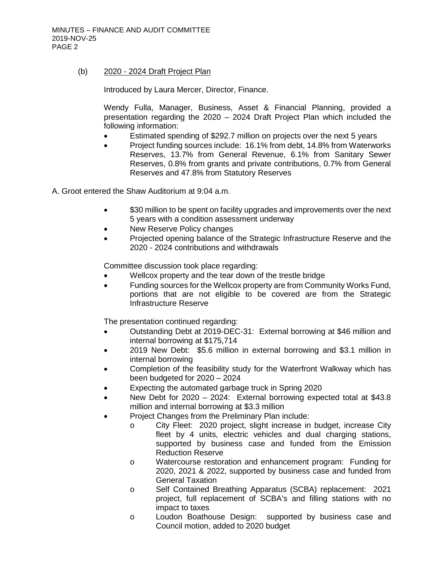## (b) 2020 - 2024 Draft Project Plan

Introduced by Laura Mercer, Director, Finance.

Wendy Fulla, Manager, Business, Asset & Financial Planning, provided a presentation regarding the 2020 – 2024 Draft Project Plan which included the following information:

- Estimated spending of \$292.7 million on projects over the next 5 years
- Project funding sources include: 16.1% from debt, 14.8% from Waterworks Reserves, 13.7% from General Revenue, 6.1% from Sanitary Sewer Reserves, 0.8% from grants and private contributions, 0.7% from General Reserves and 47.8% from Statutory Reserves

A. Groot entered the Shaw Auditorium at 9:04 a.m.

- \$30 million to be spent on facility upgrades and improvements over the next 5 years with a condition assessment underway
- New Reserve Policy changes
- Projected opening balance of the Strategic Infrastructure Reserve and the 2020 - 2024 contributions and withdrawals

Committee discussion took place regarding:

- Wellcox property and the tear down of the trestle bridge
- Funding sources for the Wellcox property are from Community Works Fund, portions that are not eligible to be covered are from the Strategic Infrastructure Reserve

The presentation continued regarding:

- Outstanding Debt at 2019-DEC-31: External borrowing at \$46 million and internal borrowing at \$175,714
- 2019 New Debt: \$5.6 million in external borrowing and \$3.1 million in internal borrowing
- Completion of the feasibility study for the Waterfront Walkway which has been budgeted for 2020 – 2024
- Expecting the automated garbage truck in Spring 2020
- New Debt for 2020 2024: External borrowing expected total at \$43.8 million and internal borrowing at \$3.3 million
	- Project Changes from the Preliminary Plan include:
		- o City Fleet: 2020 project, slight increase in budget, increase City fleet by 4 units, electric vehicles and dual charging stations, supported by business case and funded from the Emission Reduction Reserve
		- o Watercourse restoration and enhancement program: Funding for 2020, 2021 & 2022, supported by business case and funded from General Taxation
		- o Self Contained Breathing Apparatus (SCBA) replacement: 2021 project, full replacement of SCBA's and filling stations with no impact to taxes
		- o Loudon Boathouse Design: supported by business case and Council motion, added to 2020 budget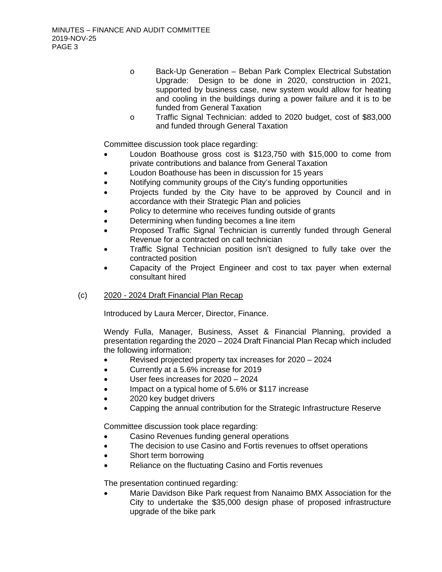- o Back-Up Generation Beban Park Complex Electrical Substation Upgrade: Design to be done in 2020, construction in 2021, supported by business case, new system would allow for heating and cooling in the buildings during a power failure and it is to be funded from General Taxation
- o Traffic Signal Technician: added to 2020 budget, cost of \$83,000 and funded through General Taxation

Committee discussion took place regarding:

- Loudon Boathouse gross cost is \$123,750 with \$15,000 to come from private contributions and balance from General Taxation
- Loudon Boathouse has been in discussion for 15 years
- Notifying community groups of the City's funding opportunities
- Projects funded by the City have to be approved by Council and in accordance with their Strategic Plan and policies
- Policy to determine who receives funding outside of grants
- Determining when funding becomes a line item
- Proposed Traffic Signal Technician is currently funded through General Revenue for a contracted on call technician
- Traffic Signal Technician position isn't designed to fully take over the contracted position
- Capacity of the Project Engineer and cost to tax payer when external consultant hired

# (c) 2020 - 2024 Draft Financial Plan Recap

Introduced by Laura Mercer, Director, Finance.

Wendy Fulla, Manager, Business, Asset & Financial Planning, provided a presentation regarding the 2020 – 2024 Draft Financial Plan Recap which included the following information:

- Revised projected property tax increases for 2020 2024
- Currently at a 5.6% increase for 2019
- User fees increases for 2020 2024
- Impact on a typical home of 5.6% or \$117 increase
- 2020 key budget drivers
- Capping the annual contribution for the Strategic Infrastructure Reserve

Committee discussion took place regarding:

- Casino Revenues funding general operations
- The decision to use Casino and Fortis revenues to offset operations
- Short term borrowing
- Reliance on the fluctuating Casino and Fortis revenues

The presentation continued regarding:

• Marie Davidson Bike Park request from Nanaimo BMX Association for the City to undertake the \$35,000 design phase of proposed infrastructure upgrade of the bike park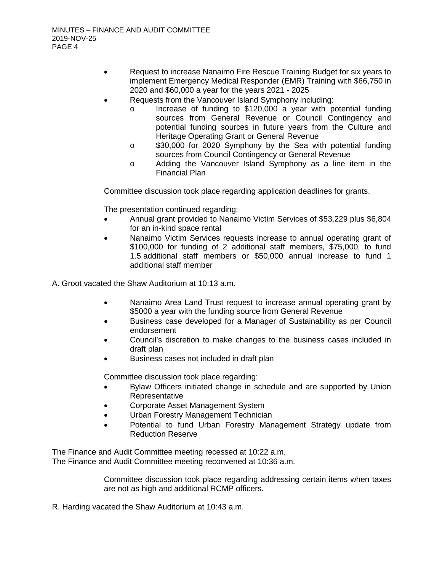- Request to increase Nanaimo Fire Rescue Training Budget for six years to implement Emergency Medical Responder (EMR) Training with \$66,750 in 2020 and \$60,000 a year for the years 2021 - 2025
- Requests from the Vancouver Island Symphony including:
	- o Increase of funding to \$120,000 a year with potential funding sources from General Revenue or Council Contingency and potential funding sources in future years from the Culture and Heritage Operating Grant or General Revenue
	- o \$30,000 for 2020 Symphony by the Sea with potential funding sources from Council Contingency or General Revenue
	- o Adding the Vancouver Island Symphony as a line item in the Financial Plan

Committee discussion took place regarding application deadlines for grants.

The presentation continued regarding:

- Annual grant provided to Nanaimo Victim Services of \$53,229 plus \$6,804 for an in-kind space rental
- Nanaimo Victim Services requests increase to annual operating grant of \$100,000 for funding of 2 additional staff members, \$75,000, to fund 1.5 additional staff members or \$50,000 annual increase to fund 1 additional staff member

A. Groot vacated the Shaw Auditorium at 10:13 a.m.

- Nanaimo Area Land Trust request to increase annual operating grant by \$5000 a year with the funding source from General Revenue
- Business case developed for a Manager of Sustainability as per Council endorsement
- Council's discretion to make changes to the business cases included in draft plan
- Business cases not included in draft plan

Committee discussion took place regarding:

- Bylaw Officers initiated change in schedule and are supported by Union Representative
- Corporate Asset Management System
- Urban Forestry Management Technician
- Potential to fund Urban Forestry Management Strategy update from Reduction Reserve

The Finance and Audit Committee meeting recessed at 10:22 a.m. The Finance and Audit Committee meeting reconvened at 10:36 a.m.

> Committee discussion took place regarding addressing certain items when taxes are not as high and additional RCMP officers.

R. Harding vacated the Shaw Auditorium at 10:43 a.m.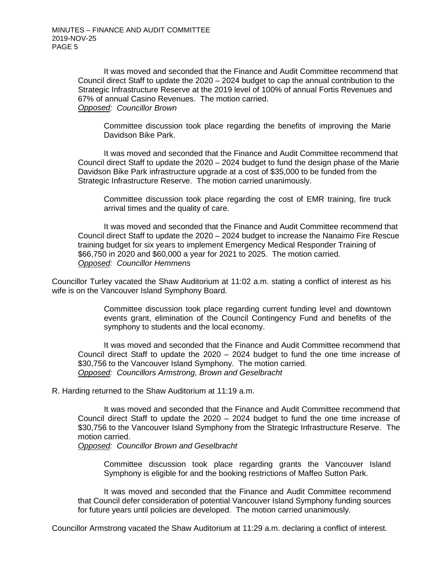It was moved and seconded that the Finance and Audit Committee recommend that Council direct Staff to update the 2020 – 2024 budget to cap the annual contribution to the Strategic Infrastructure Reserve at the 2019 level of 100% of annual Fortis Revenues and 67% of annual Casino Revenues. The motion carried. *Opposed: Councillor Brown*

Committee discussion took place regarding the benefits of improving the Marie Davidson Bike Park.

It was moved and seconded that the Finance and Audit Committee recommend that Council direct Staff to update the 2020 – 2024 budget to fund the design phase of the Marie Davidson Bike Park infrastructure upgrade at a cost of \$35,000 to be funded from the Strategic Infrastructure Reserve. The motion carried unanimously.

Committee discussion took place regarding the cost of EMR training, fire truck arrival times and the quality of care.

It was moved and seconded that the Finance and Audit Committee recommend that Council direct Staff to update the 2020 – 2024 budget to increase the Nanaimo Fire Rescue training budget for six years to implement Emergency Medical Responder Training of \$66,750 in 2020 and \$60,000 a year for 2021 to 2025. The motion carried. *Opposed: Councillor Hemmens*

Councillor Turley vacated the Shaw Auditorium at 11:02 a.m. stating a conflict of interest as his wife is on the Vancouver Island Symphony Board.

> Committee discussion took place regarding current funding level and downtown events grant, elimination of the Council Contingency Fund and benefits of the symphony to students and the local economy.

It was moved and seconded that the Finance and Audit Committee recommend that Council direct Staff to update the 2020 – 2024 budget to fund the one time increase of \$30,756 to the Vancouver Island Symphony. The motion carried. *Opposed: Councillors Armstrong, Brown and Geselbracht*

#### R. Harding returned to the Shaw Auditorium at 11:19 a.m.

It was moved and seconded that the Finance and Audit Committee recommend that Council direct Staff to update the 2020 – 2024 budget to fund the one time increase of \$30,756 to the Vancouver Island Symphony from the Strategic Infrastructure Reserve. The motion carried.

*Opposed: Councillor Brown and Geselbracht*

Committee discussion took place regarding grants the Vancouver Island Symphony is eligible for and the booking restrictions of Maffeo Sutton Park.

It was moved and seconded that the Finance and Audit Committee recommend that Council defer consideration of potential Vancouver Island Symphony funding sources for future years until policies are developed. The motion carried unanimously.

Councillor Armstrong vacated the Shaw Auditorium at 11:29 a.m. declaring a conflict of interest.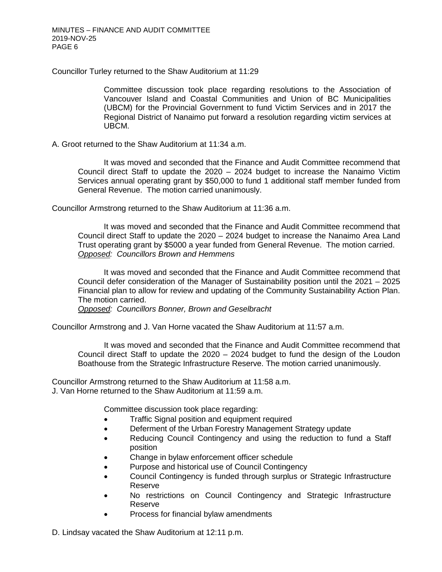Councillor Turley returned to the Shaw Auditorium at 11:29

Committee discussion took place regarding resolutions to the Association of Vancouver Island and Coastal Communities and Union of BC Municipalities (UBCM) for the Provincial Government to fund Victim Services and in 2017 the Regional District of Nanaimo put forward a resolution regarding victim services at UBCM.

A. Groot returned to the Shaw Auditorium at 11:34 a.m.

It was moved and seconded that the Finance and Audit Committee recommend that Council direct Staff to update the 2020 – 2024 budget to increase the Nanaimo Victim Services annual operating grant by \$50,000 to fund 1 additional staff member funded from General Revenue. The motion carried unanimously.

Councillor Armstrong returned to the Shaw Auditorium at 11:36 a.m.

It was moved and seconded that the Finance and Audit Committee recommend that Council direct Staff to update the 2020 – 2024 budget to increase the Nanaimo Area Land Trust operating grant by \$5000 a year funded from General Revenue. The motion carried. *Opposed: Councillors Brown and Hemmens*

It was moved and seconded that the Finance and Audit Committee recommend that Council defer consideration of the Manager of Sustainability position until the 2021 – 2025 Financial plan to allow for review and updating of the Community Sustainability Action Plan. The motion carried.

*Opposed: Councillors Bonner, Brown and Geselbracht*

Councillor Armstrong and J. Van Horne vacated the Shaw Auditorium at 11:57 a.m.

It was moved and seconded that the Finance and Audit Committee recommend that Council direct Staff to update the 2020 – 2024 budget to fund the design of the Loudon Boathouse from the Strategic Infrastructure Reserve. The motion carried unanimously.

Councillor Armstrong returned to the Shaw Auditorium at 11:58 a.m. J. Van Horne returned to the Shaw Auditorium at 11:59 a.m.

Committee discussion took place regarding:

- Traffic Signal position and equipment required
- Deferment of the Urban Forestry Management Strategy update
- Reducing Council Contingency and using the reduction to fund a Staff position
- Change in bylaw enforcement officer schedule
- Purpose and historical use of Council Contingency
- Council Contingency is funded through surplus or Strategic Infrastructure Reserve
- No restrictions on Council Contingency and Strategic Infrastructure Reserve
- Process for financial bylaw amendments

D. Lindsay vacated the Shaw Auditorium at 12:11 p.m.